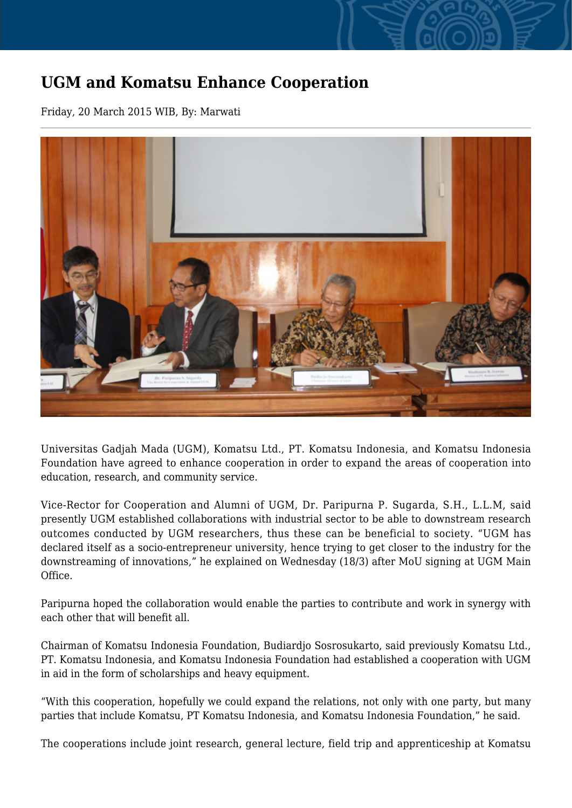## **UGM and Komatsu Enhance Cooperation**

Friday, 20 March 2015 WIB, By: Marwati



Universitas Gadjah Mada (UGM), Komatsu Ltd., PT. Komatsu Indonesia, and Komatsu Indonesia Foundation have agreed to enhance cooperation in order to expand the areas of cooperation into education, research, and community service.

Vice-Rector for Cooperation and Alumni of UGM, Dr. Paripurna P. Sugarda, S.H., L.L.M, said presently UGM established collaborations with industrial sector to be able to downstream research outcomes conducted by UGM researchers, thus these can be beneficial to society. "UGM has declared itself as a socio-entrepreneur university, hence trying to get closer to the industry for the downstreaming of innovations," he explained on Wednesday (18/3) after MoU signing at UGM Main Office.

Paripurna hoped the collaboration would enable the parties to contribute and work in synergy with each other that will benefit all.

Chairman of Komatsu Indonesia Foundation, Budiardjo Sosrosukarto, said previously Komatsu Ltd., PT. Komatsu Indonesia, and Komatsu Indonesia Foundation had established a cooperation with UGM in aid in the form of scholarships and heavy equipment.

"With this cooperation, hopefully we could expand the relations, not only with one party, but many parties that include Komatsu, PT Komatsu Indonesia, and Komatsu Indonesia Foundation," he said.

The cooperations include joint research, general lecture, field trip and apprenticeship at Komatsu